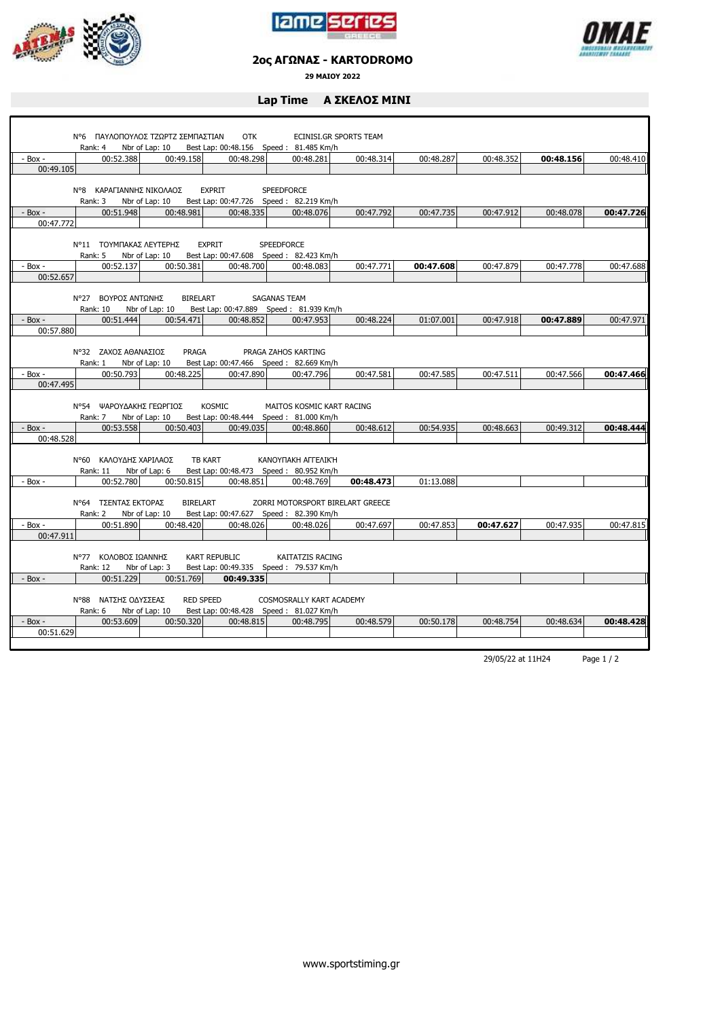





## **2ος ΑΓΩΝΑΣ - KARTODROMO**

**29 ΜΑΙΟΥ 2022**

## **Lap Time Α ΣΚΕΛΟΣ ΜΙΝΙ**

|             | Ν°6 ΠΑΥΛΟΠΟΥΛΟΣ ΤΖΩΡΤΖ ΣΕΜΠΑΣΤΙΑΝ<br>Rank: 4 Nbr of Lap: 10 |                            | <b>OTK</b><br>Best Lap: 00:48.156 Speed: 81.485 Km/h                           |                                  | ECINISI.GR SPORTS TEAM |           |           |           |           |
|-------------|-------------------------------------------------------------|----------------------------|--------------------------------------------------------------------------------|----------------------------------|------------------------|-----------|-----------|-----------|-----------|
| $-$ Box $-$ | 00:52.388                                                   | 00:49.158                  | 00:48.298                                                                      | 00:48.281                        | 00:48.314              | 00:48.287 | 00:48.352 | 00:48.156 | 00:48.410 |
| 00:49.105   |                                                             |                            |                                                                                |                                  |                        |           |           |           |           |
|             | N°8 ΚΑΡΑΓΙΑΝΝΗΣ ΝΙΚΟΛΑΟΣ<br>Rank: 3                         | Nbr of Lap: 10             | <b>EXPRIT</b><br>Best Lap: 00:47.726 Speed: 82.219 Km/h                        | <b>SPEEDFORCE</b>                |                        |           |           |           |           |
| $-$ Box $-$ | 00:51.948                                                   | 00:48.981                  | 00:48.335                                                                      | 00:48.076                        | 00:47.792              | 00:47.735 | 00:47.912 | 00:48.078 | 00:47.726 |
| 00:47.772   |                                                             |                            |                                                                                |                                  |                        |           |           |           |           |
|             | Ν°11 ΤΟΥΜΠΑΚΑΣ ΛΕΥΤΕΡΗΣ<br>Rank: 5 Nbr of Lap: 10           |                            | <b>EXPRIT</b><br>Best Lap: 00:47.608 Speed: 82.423 Km/h                        | <b>SPEEDFORCE</b>                |                        |           |           |           |           |
| - Box -     | 00:52.137                                                   | 00:50.381                  | 00:48.700                                                                      | 00:48.083                        | 00:47.771              | 00:47.608 | 00:47.879 | 00:47.778 | 00:47.688 |
| 00:52.657   |                                                             |                            |                                                                                |                                  |                        |           |           |           |           |
|             | Ν°27 ΒΟΥΡΟΣ ΑΝΤΩΝΗΣ<br>Rank: 10                             | BIRELART<br>Nbr of Lap: 10 | <b>SAGANAS TEAM</b><br>Best Lap: 00:47.889 Speed: 81.939 Km/h                  |                                  |                        |           |           |           |           |
| - Box -     | 00:51.444                                                   | 00:54.471                  | 00:48.852                                                                      | 00:47.953                        | 00:48.224              | 01:07.001 | 00:47.918 | 00:47.889 | 00:47.971 |
| 00:57.880   |                                                             |                            |                                                                                |                                  |                        |           |           |           |           |
|             | N°32 ZAXOΣ AΘΑΝΑΣΙΟΣ<br>Rank: 1                             | PRAGA<br>Nbr of Lap: 10    | Best Lap: 00:47.466 Speed: 82.669 Km/h                                         | PRAGA ZAHOS KARTING              |                        |           |           |           |           |
| - Box -     | 00:50.793                                                   | 00:48.225                  | 00:47.890                                                                      | 00:47.796                        | 00:47.581              | 00:47.585 | 00:47.511 | 00:47.566 | 00:47.466 |
| 00:47.495   |                                                             |                            |                                                                                |                                  |                        |           |           |           |           |
|             | Ν°54 ΨΑΡΟΥΔΑΚΗΣ ΓΕΩΡΓΙΟΣ                                    |                            | <b>KOSMIC</b><br>Rank: 7 Nbr of Lap: 10 Best Lap: 00:48.444 Speed: 81.000 Km/h | MAITOS KOSMIC KART RACING        |                        |           |           |           |           |
| $-$ Box $-$ | 00:53.558                                                   | 00:50.403                  | 00:49.035                                                                      | 00:48.860                        | 00:48.612              | 00:54.935 | 00:48.663 | 00:49.312 | 00:48.444 |
| 00:48.528   |                                                             |                            |                                                                                |                                  |                        |           |           |           |           |
|             | Ν°60 ΚΑΛΟΥΔΗΣ ΧΑΡΙΛΑΟΣ<br>Rank: 11                          | Nbr of Lap: 6              | <b>TB KART</b><br>Best Lap: 00:48.473 Speed: 80.952 Km/h                       | <b>KANOYΠAKH AΓΓΕΛΙΚΉ</b>        |                        |           |           |           |           |
| - Box -     | 00:52.780                                                   | 00:50.815                  | 00:48.851                                                                      | 00:48.769                        | 00:48.473              | 01:13.088 |           |           |           |
|             | <b>Ν°64 ΤΣΕΝΤΑΣ ΕΚΤΟΡΑΣ</b><br>Rank: 2 Nbr of Lap: 10       | BIRELART                   | Best Lap: 00:47.627 Speed: 82.390 Km/h                                         | ZORRI MOTORSPORT BIRELART GREECE |                        |           |           |           |           |
| $-$ Box $-$ | 00:51.890                                                   | 00:48.420                  | 00:48.026                                                                      | 00:48.026                        | 00:47.697              | 00:47.853 | 00:47.627 | 00:47.935 | 00:47.815 |
| 00:47.911   |                                                             |                            |                                                                                |                                  |                        |           |           |           |           |
|             | N°77 ΚΟΛΟΒΟΣ ΙΩΑΝΝΗΣ<br><b>Rank: 12</b>                     | Nbr of Lap: 3              | <b>KART REPUBLIC</b><br>Best Lap: 00:49.335 Speed: 79.537 Km/h                 | KAITATZIS RACING                 |                        |           |           |           |           |
| $-$ Box $-$ | 00:51.229                                                   | 00:51.769                  | 00:49.335                                                                      |                                  |                        |           |           |           |           |
|             | N°88 ΝΑΤΣΗΣ ΟΔΥΣΣΕΑΣ<br>Rank: 6                             | Nbr of Lap: 10             | <b>RED SPEED</b><br>Best Lap: 00:48.428   Speed: 81.027 Km/h                   | COSMOSRALLY KART ACADEMY         |                        |           |           |           |           |
| $-$ Box $-$ | 00:53.609                                                   | 00:50.320                  | 00:48.815                                                                      | 00:48.795                        | 00:48.579              | 00:50.178 | 00:48.754 | 00:48.634 | 00:48.428 |
| 00:51.629   |                                                             |                            |                                                                                |                                  |                        |           |           |           |           |
|             |                                                             |                            |                                                                                |                                  |                        |           |           |           |           |

29/05/22 at 11H24 Page 1 / 2